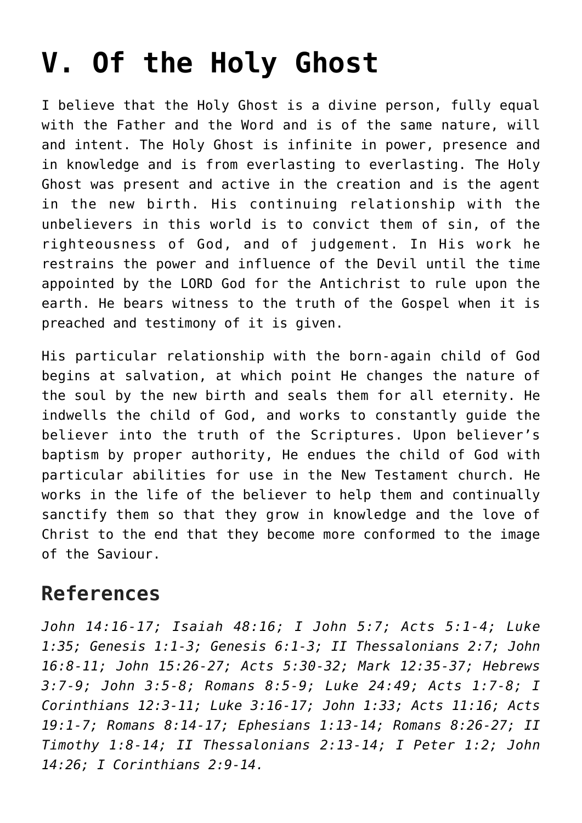## **[V. Of the Holy Ghost](https://reproachofmen.org/statement-of-faith/v-of-the-holy-ghost/)**

I believe that the Holy Ghost is a divine person, fully equal with the Father and the Word and is of the same nature, will and intent. The Holy Ghost is infinite in power, presence and in knowledge and is from everlasting to everlasting. The Holy Ghost was present and active in the creation and is the agent in the new birth. His continuing relationship with the unbelievers in this world is to convict them of sin, of the righteousness of God, and of judgement. In His work he restrains the power and influence of the Devil until the time appointed by the LORD God for the Antichrist to rule upon the earth. He bears witness to the truth of the Gospel when it is preached and testimony of it is given.

His particular relationship with the born-again child of God begins at salvation, at which point He changes the nature of the soul by the new birth and seals them for all eternity. He indwells the child of God, and works to constantly guide the believer into the truth of the Scriptures. Upon believer's baptism by proper authority, He endues the child of God with particular abilities for use in the New Testament church. He works in the life of the believer to help them and continually sanctify them so that they grow in knowledge and the love of Christ to the end that they become more conformed to the image of the Saviour.

## **References**

*John 14:16-17; Isaiah 48:16; I John 5:7; Acts 5:1-4; Luke 1:35; Genesis 1:1-3; Genesis 6:1-3; II Thessalonians 2:7; John 16:8-11; John 15:26-27; Acts 5:30-32; Mark 12:35-37; Hebrews 3:7-9; John 3:5-8; Romans 8:5-9; Luke 24:49; Acts 1:7-8; I Corinthians 12:3-11; Luke 3:16-17; John 1:33; Acts 11:16; Acts 19:1-7; Romans 8:14-17; Ephesians 1:13-14; Romans 8:26-27; II Timothy 1:8-14; II Thessalonians 2:13-14; I Peter 1:2; John 14:26; I Corinthians 2:9-14.*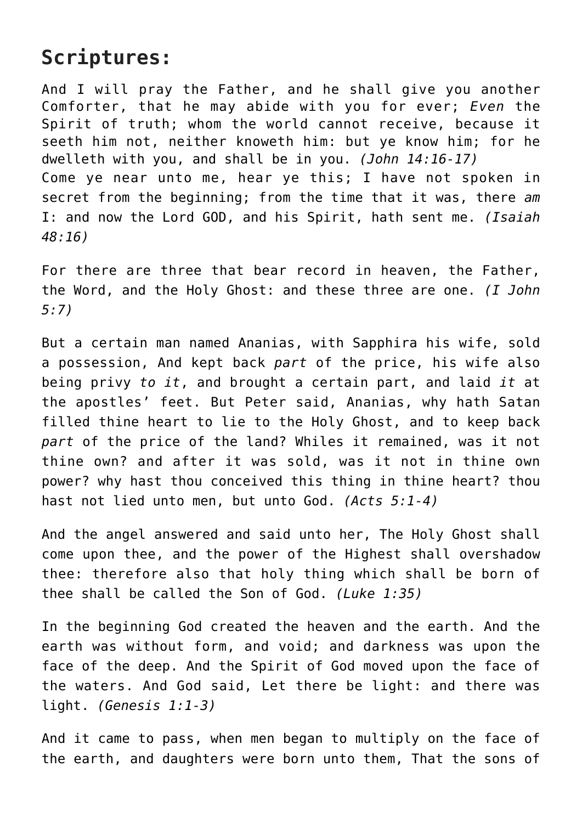## **Scriptures:**

And I will pray the Father, and he shall give you another Comforter, that he may abide with you for ever; *Even* the Spirit of truth; whom the world cannot receive, because it seeth him not, neither knoweth him: but ye know him; for he dwelleth with you, and shall be in you. *(John 14:16-17)* Come ye near unto me, hear ye this; I have not spoken in secret from the beginning; from the time that it was, there *am* I: and now the Lord GOD, and his Spirit, hath sent me. *(Isaiah 48:16)*

For there are three that bear record in heaven, the Father, the Word, and the Holy Ghost: and these three are one. *(I John 5:7)*

But a certain man named Ananias, with Sapphira his wife, sold a possession, And kept back *part* of the price, his wife also being privy *to it*, and brought a certain part, and laid *it* at the apostles' feet. But Peter said, Ananias, why hath Satan filled thine heart to lie to the Holy Ghost, and to keep back *part* of the price of the land? Whiles it remained, was it not thine own? and after it was sold, was it not in thine own power? why hast thou conceived this thing in thine heart? thou hast not lied unto men, but unto God. *(Acts 5:1-4)*

And the angel answered and said unto her, The Holy Ghost shall come upon thee, and the power of the Highest shall overshadow thee: therefore also that holy thing which shall be born of thee shall be called the Son of God. *(Luke 1:35)*

In the beginning God created the heaven and the earth. And the earth was without form, and void; and darkness was upon the face of the deep. And the Spirit of God moved upon the face of the waters. And God said, Let there be light: and there was light. *(Genesis 1:1-3)*

And it came to pass, when men began to multiply on the face of the earth, and daughters were born unto them, That the sons of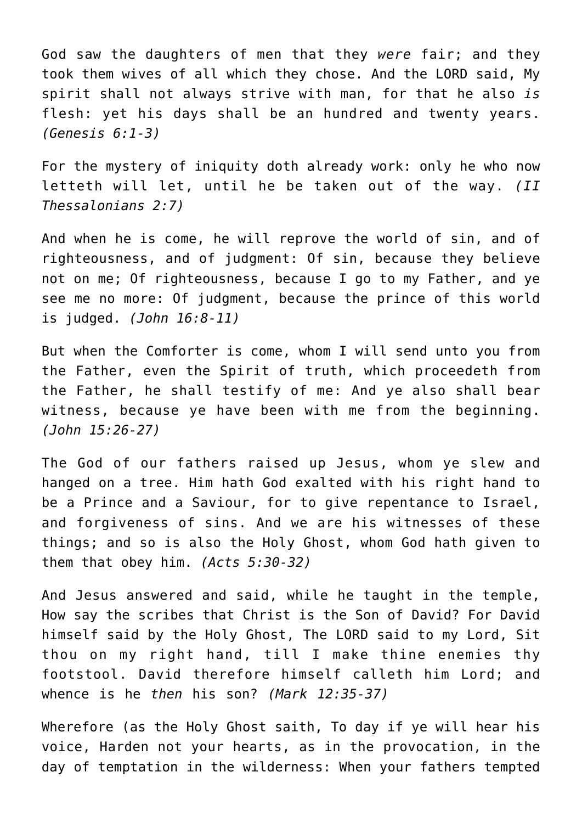God saw the daughters of men that they *were* fair; and they took them wives of all which they chose. And the LORD said, My spirit shall not always strive with man, for that he also *is* flesh: yet his days shall be an hundred and twenty years. *(Genesis 6:1-3)*

For the mystery of iniquity doth already work: only he who now letteth will let, until he be taken out of the way. *(II Thessalonians 2:7)*

And when he is come, he will reprove the world of sin, and of righteousness, and of judgment: Of sin, because they believe not on me; Of righteousness, because I go to my Father, and ye see me no more: Of judgment, because the prince of this world is judged. *(John 16:8-11)*

But when the Comforter is come, whom I will send unto you from the Father, even the Spirit of truth, which proceedeth from the Father, he shall testify of me: And ye also shall bear witness, because ye have been with me from the beginning. *(John 15:26-27)*

The God of our fathers raised up Jesus, whom ye slew and hanged on a tree. Him hath God exalted with his right hand to be a Prince and a Saviour, for to give repentance to Israel, and forgiveness of sins. And we are his witnesses of these things; and so is also the Holy Ghost, whom God hath given to them that obey him. *(Acts 5:30-32)*

And Jesus answered and said, while he taught in the temple, How say the scribes that Christ is the Son of David? For David himself said by the Holy Ghost, The LORD said to my Lord, Sit thou on my right hand, till I make thine enemies thy footstool. David therefore himself calleth him Lord; and whence is he *then* his son? *(Mark 12:35-37)*

Wherefore (as the Holy Ghost saith, To day if ye will hear his voice, Harden not your hearts, as in the provocation, in the day of temptation in the wilderness: When your fathers tempted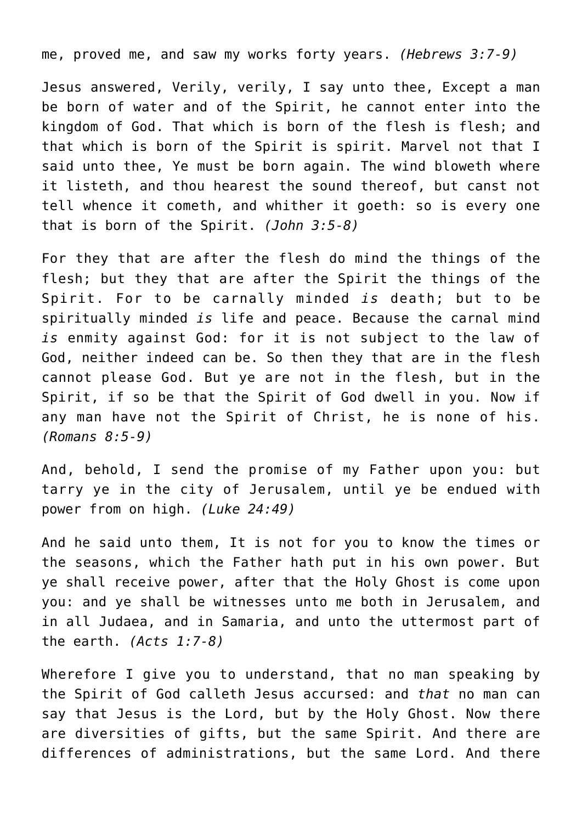me, proved me, and saw my works forty years. *(Hebrews 3:7-9)*

Jesus answered, Verily, verily, I say unto thee, Except a man be born of water and of the Spirit, he cannot enter into the kingdom of God. That which is born of the flesh is flesh; and that which is born of the Spirit is spirit. Marvel not that I said unto thee, Ye must be born again. The wind bloweth where it listeth, and thou hearest the sound thereof, but canst not tell whence it cometh, and whither it goeth: so is every one that is born of the Spirit. *(John 3:5-8)*

For they that are after the flesh do mind the things of the flesh; but they that are after the Spirit the things of the Spirit. For to be carnally minded *is* death; but to be spiritually minded *is* life and peace. Because the carnal mind *is* enmity against God: for it is not subject to the law of God, neither indeed can be. So then they that are in the flesh cannot please God. But ye are not in the flesh, but in the Spirit, if so be that the Spirit of God dwell in you. Now if any man have not the Spirit of Christ, he is none of his. *(Romans 8:5-9)*

And, behold, I send the promise of my Father upon you: but tarry ye in the city of Jerusalem, until ye be endued with power from on high. *(Luke 24:49)*

And he said unto them, It is not for you to know the times or the seasons, which the Father hath put in his own power. But ye shall receive power, after that the Holy Ghost is come upon you: and ye shall be witnesses unto me both in Jerusalem, and in all Judaea, and in Samaria, and unto the uttermost part of the earth. *(Acts 1:7-8)*

Wherefore I give you to understand, that no man speaking by the Spirit of God calleth Jesus accursed: and *that* no man can say that Jesus is the Lord, but by the Holy Ghost. Now there are diversities of gifts, but the same Spirit. And there are differences of administrations, but the same Lord. And there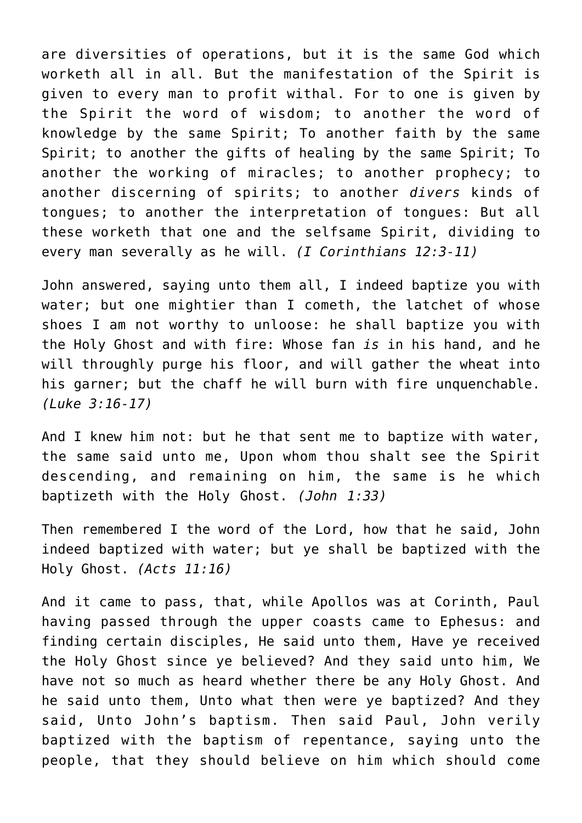are diversities of operations, but it is the same God which worketh all in all. But the manifestation of the Spirit is given to every man to profit withal. For to one is given by the Spirit the word of wisdom; to another the word of knowledge by the same Spirit; To another faith by the same Spirit; to another the gifts of healing by the same Spirit; To another the working of miracles; to another prophecy; to another discerning of spirits; to another *divers* kinds of tongues; to another the interpretation of tongues: But all these worketh that one and the selfsame Spirit, dividing to every man severally as he will. *(I Corinthians 12:3-11)*

John answered, saying unto them all, I indeed baptize you with water; but one mightier than I cometh, the latchet of whose shoes I am not worthy to unloose: he shall baptize you with the Holy Ghost and with fire: Whose fan *is* in his hand, and he will throughly purge his floor, and will gather the wheat into his garner; but the chaff he will burn with fire unquenchable. *(Luke 3:16-17)*

And I knew him not: but he that sent me to baptize with water, the same said unto me, Upon whom thou shalt see the Spirit descending, and remaining on him, the same is he which baptizeth with the Holy Ghost. *(John 1:33)*

Then remembered I the word of the Lord, how that he said, John indeed baptized with water; but ye shall be baptized with the Holy Ghost. *(Acts 11:16)*

And it came to pass, that, while Apollos was at Corinth, Paul having passed through the upper coasts came to Ephesus: and finding certain disciples, He said unto them, Have ye received the Holy Ghost since ye believed? And they said unto him, We have not so much as heard whether there be any Holy Ghost. And he said unto them, Unto what then were ye baptized? And they said, Unto John's baptism. Then said Paul, John verily baptized with the baptism of repentance, saying unto the people, that they should believe on him which should come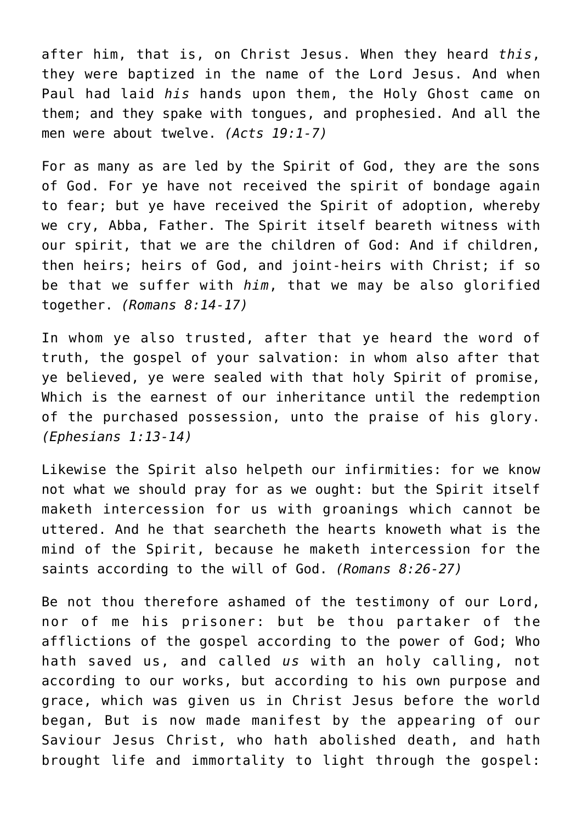after him, that is, on Christ Jesus. When they heard *this*, they were baptized in the name of the Lord Jesus. And when Paul had laid *his* hands upon them, the Holy Ghost came on them; and they spake with tongues, and prophesied. And all the men were about twelve. *(Acts 19:1-7)*

For as many as are led by the Spirit of God, they are the sons of God. For ye have not received the spirit of bondage again to fear; but ye have received the Spirit of adoption, whereby we cry, Abba, Father. The Spirit itself beareth witness with our spirit, that we are the children of God: And if children, then heirs; heirs of God, and joint-heirs with Christ; if so be that we suffer with *him*, that we may be also glorified together. *(Romans 8:14-17)*

In whom ye also trusted, after that ye heard the word of truth, the gospel of your salvation: in whom also after that ye believed, ye were sealed with that holy Spirit of promise, Which is the earnest of our inheritance until the redemption of the purchased possession, unto the praise of his glory. *(Ephesians 1:13-14)*

Likewise the Spirit also helpeth our infirmities: for we know not what we should pray for as we ought: but the Spirit itself maketh intercession for us with groanings which cannot be uttered. And he that searcheth the hearts knoweth what is the mind of the Spirit, because he maketh intercession for the saints according to the will of God. *(Romans 8:26-27)*

Be not thou therefore ashamed of the testimony of our Lord, nor of me his prisoner: but be thou partaker of the afflictions of the gospel according to the power of God; Who hath saved us, and called *us* with an holy calling, not according to our works, but according to his own purpose and grace, which was given us in Christ Jesus before the world began, But is now made manifest by the appearing of our Saviour Jesus Christ, who hath abolished death, and hath brought life and immortality to light through the gospel: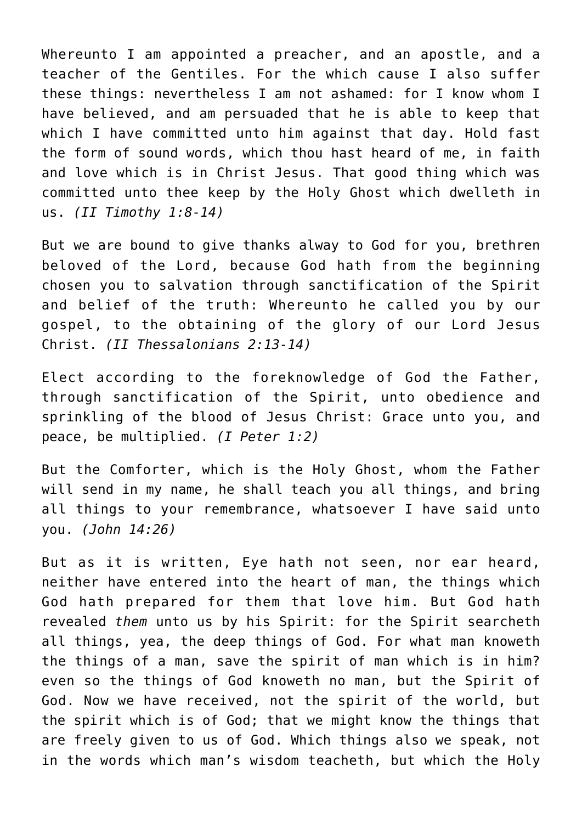Whereunto I am appointed a preacher, and an apostle, and a teacher of the Gentiles. For the which cause I also suffer these things: nevertheless I am not ashamed: for I know whom I have believed, and am persuaded that he is able to keep that which I have committed unto him against that day. Hold fast the form of sound words, which thou hast heard of me, in faith and love which is in Christ Jesus. That good thing which was committed unto thee keep by the Holy Ghost which dwelleth in us. *(II Timothy 1:8-14)*

But we are bound to give thanks alway to God for you, brethren beloved of the Lord, because God hath from the beginning chosen you to salvation through sanctification of the Spirit and belief of the truth: Whereunto he called you by our gospel, to the obtaining of the glory of our Lord Jesus Christ. *(II Thessalonians 2:13-14)*

Elect according to the foreknowledge of God the Father, through sanctification of the Spirit, unto obedience and sprinkling of the blood of Jesus Christ: Grace unto you, and peace, be multiplied. *(I Peter 1:2)*

But the Comforter, which is the Holy Ghost, whom the Father will send in my name, he shall teach you all things, and bring all things to your remembrance, whatsoever I have said unto you. *(John 14:26)*

But as it is written, Eye hath not seen, nor ear heard, neither have entered into the heart of man, the things which God hath prepared for them that love him. But God hath revealed *them* unto us by his Spirit: for the Spirit searcheth all things, yea, the deep things of God. For what man knoweth the things of a man, save the spirit of man which is in him? even so the things of God knoweth no man, but the Spirit of God. Now we have received, not the spirit of the world, but the spirit which is of God; that we might know the things that are freely given to us of God. Which things also we speak, not in the words which man's wisdom teacheth, but which the Holy